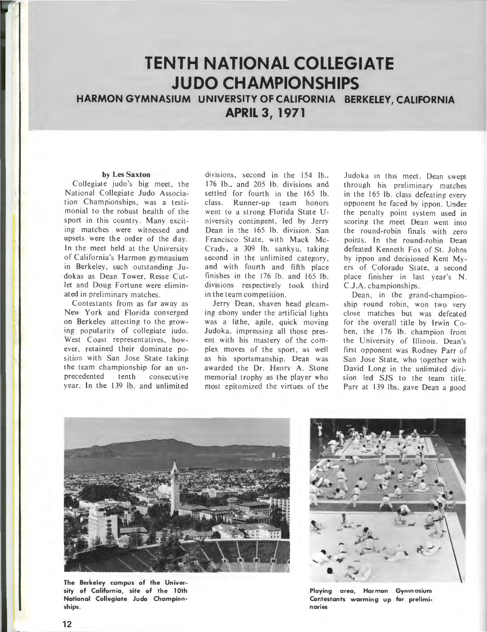# **TENTH NATIONAL COLLEGIATE JUDO CHAMPIONSHIPS**

**HARMON GYMNASIUM UNIVERSITY OF CALIFORNIA BERKELEY, CALIFORNIA APRIL 3, 1971** 

#### **by Les Saxton**

Collegiate judo's big meet, the National Collegiate Judo Association Championships, was a testimonial to the robust health of the sport in this country. Many exciting matches were witnessed and upsets were the order of the day. In the meet held at the University of California's Harmon gymnasium in Berkeley, such outstanding Judokas as Dean Tower, Resse Cutlet and Doug Fortune were eliminated in preliminary matches.

Contestants from as far away as New York and Florida converged on Berkeley attesting to the growing popularity of collegiate judo. West Coast representatives, however, retained their dominate position with San Jose State taking the team championship for an unprecedented tenth consecutive year. In the 139 lb, and unlimited

divisions, second in the 154 lb. 176 lb., and 205 lb. divisions and settled for fourth in the 165 lb. class. Runner-up team honors went to a strong Florida State University contingent, led by Jerry Dean in the 165 lb. division San Francisco State, with Mack Mc-Crady, a 309 lb. sankyu, taking second in the unlimited category and with fourth and fifth place finishes in the 176 lb. and 165 lb. divisions respectively took third in the team compet ition.

Jerry Dean, shaven head gleaming ebony under the artificial lights was a lithe, agile, quick moving Judoka, impressing all those present with his mastery of the complex moves of the sport, as well as his sportsmanship. Dean was awarded the Dr. Henry A. Stone memorial trophy as the player who most epitomized the virtues of the

Judoka in this meet. Dean swept through his preliminary matches in the 165 lb. class defeating every opponent he faced by ippon . Under the penalty point system used in scoring the meet Dean went into the round-robin finals with zero points. In the round-robin Dean defeated Kenneth Fox of St. Johns by ippon and decisioned Kent Myers of Colorado State, a second place finisher in last year's N. C.J.A. championships.

Dean, in the grand-championship round robin, won two very close matches but was defeated for the overall title by Irwin Cohen the 176 lb. champion from the University of Illinois. Dean's first opponent was Rodney Parr of San Jose State, who together with David Long in the unlimited division led SJS to the team title. Parr at 139 lbs. gave Dean a good



**The Berkeley campus of the University of California, site of the 1Oth National Collegiate Judo Championships.** 



**Playing area, Harmon Gymnasium Contestants warming up for preliminaries**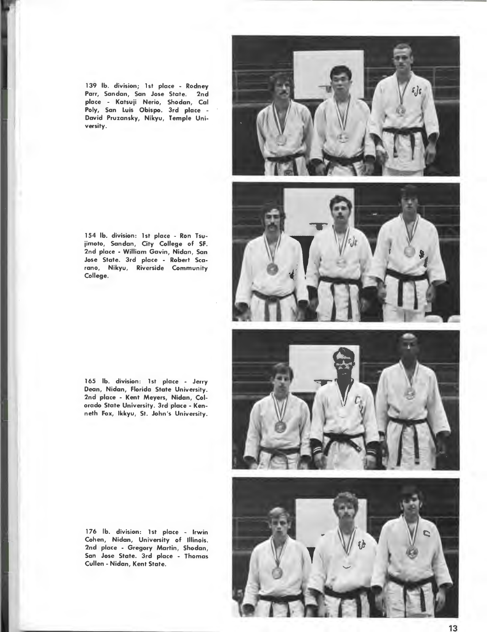139 lb. division; 1st place - Rodney Parr, Sandan, San Jose State. 2nd place - Katsuji Nerio, Shodan, Cal Poly, San Luis Obispo. 3rd place - David Pruzansky, Nikyu, Temple University.



154 lb. division: 1st place - Ron Tsujimoto, Sandan, City College of SF. 2nd place - William Gavin, Nidan, San Jose State. Jrd place - Robert Scarano, Nikyu, Riverside Community College.

165 lb. division: 1st place - Jerry Dean, Nidan, Florida State University. 2nd place - Kent Meyers, Nidan, Colorado State University. Jrd place - Kenneth Fox, lkkyu, St. John's University.

176 lb. division: 1st place - Irwin Cohen, Nidan, University of Illinois. 2nd place - Gregory Martin, Shodan, San Jose State. Jrd place - Thomas Cullen- Nidan, Kent State.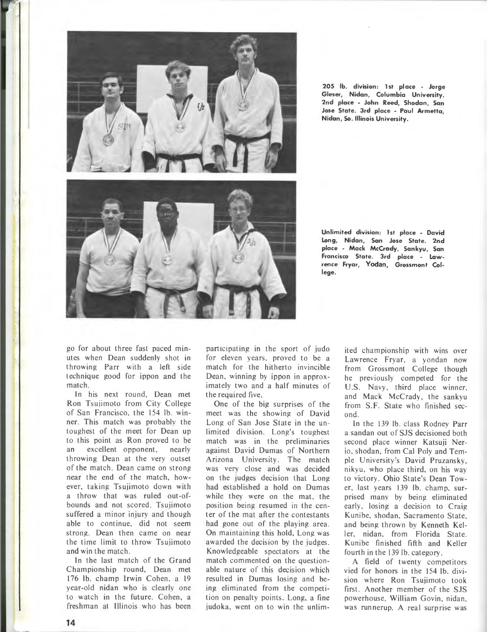

**205 lb. division: 1st place - Jorge Gieser, Nidan, Columbia University. 2nd place - John Reed, Shodan, San Jose State. 3rd place - Paul Armetta, Nidan, So. Illinois University.** 

**Unlimited division: 1st place - David Long, Nidan, San Jose State. 2nd place - Mack McCrady, Sankyu, San Francisco State. 3rd place - Lawrence Fryar, Yodan, Grossmont College.** 

go for about three fast paced minutes when Dean suddenly shot in throwing Parr with a left side technique good for ippon and the match.

In his next round, Dean met Ron Tsuiimoto from City College of San Francisco, the 154 lb. winner. This match was probably the toughest of the meet for Dean up to this point as Ron proved to be an excellent opponent, nearly throwing Dean at the very outset of the match. Dean came on strong near the end of the match, however, taking Tsuiimoto down with a throw that was ruled out-ofbounds and not scored. Tsuiimoto suffered a minor injury and though able to continue, did not seem strong. Dean then came on near the time limit to throw Tsujimoto and win the match.

In the last match of the Grand Championship round, Dean met 176 lb. champ Irwin Cohen, a 19 year-old nidan who is clearly one to watch in the future. Cohen, a freshman at Illinois who has been participating in the sport of judo for eleven years, proved to be a match for the hitherto invincible Dean, winning by ippon in approximately two and a half minutes of the required five.

One of the big surprises of the meet was the showing of David Long of San Jose State in the unlimited division. Long's toughest match was in the preliminaries against David Dumas of Northern Arizona University. The match was very close and was decided on the judges decision that Long had established a hold on Dumas while they were on the mat, the position being resumed in the center of the mat after the contestants had gone out of the playing area. On maintaining this hold, Long was awarded the decision by the judges. Knowledgeable spectators at the match commented on the questionable nature of this decision which resulted in Dumas losing and being eliminated from the competition on penalty points. Long, a fine judoka, went on to win the unlimited championship with wins over Lawrence Fryar, a yondan now from Grossmont College though he previously competed for the U.S. Navy, third place winner, and Mack McCrady, the sankyu from S.F. State who finished second.

ln the 139 lb. class Rodney Parr a sandan out of SJS decisioned both second place winner Katsuii Nerio, shodan, from Cal Poly and Temple University's David Pruzansky, nikyu, who place third, on his way to victory. Ohio State's Dean Tower, last years 139 lb. champ, surprised many by being eliminated early, losing a decision to Craig Kunibe, shodan, Sacramento State, and being thrown by Kenneth Keller, nidan, from Florida State. Kunibe finished fifth and Keller fourth in the 139 lb. category.

A field of twenty competitors vied for honors in the 154 lb. division where Ron Tsujimoto took first. Another member of the SJS powerhouse, William Govin, nidan, was runnerup. A real surprise was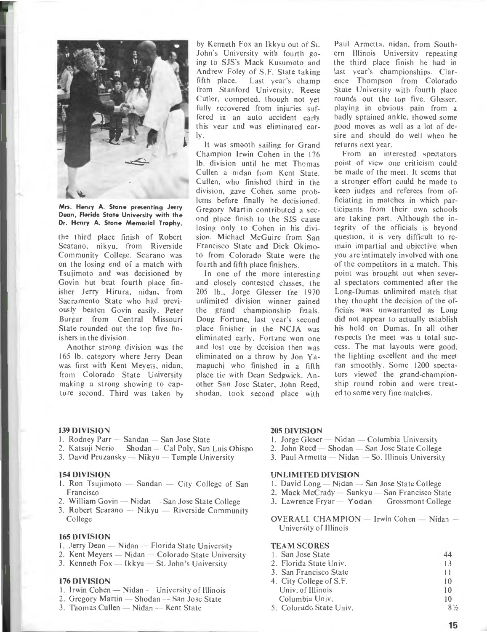

**Mrs. Henry A. Stone presenting Jerry Dean, Florida State University with the Dr. Henry A. Stone Memorial Trophy.** 

the third place finish of Robert Scarano. nikyu, from Riverside Community College. Scarano was on the losing end of a match with Tsujimoto and was decisioned by Govin but beat fourth place finisher Jerry Hirura, nidan, from Sacramento State who had previously beaten Govin easily. Peter Burgur from Central Missouri State rounded out the top five finishers in the division.

Another strong division was the 165 lb. category where Jerry Dean was first with Kent Meyers, nidan. from Colorado State University making a strong showing to capture second. Third was taken by by Kenneth Fox an lkkyu out of St. John's University with fourth going to SJS's Mack Kusumoto and Andrew Foley of S.F. State taking fifth place. Last year's champ from Stanford University, Reese Cutler, competed. though not yet fully recovered from injuries suffered in an auto accident early this year and was eliminated ear-  $|v|$ 

It was smooth sailing for Grand Champion Irwin Cohen in the 176 lb. division until he met Thomas Cullen a nidan from Kent State. Cullen. who finished third in the division, gave Cohen some problems before finally he decisioned. Gregory Martin contributed a second place finish to the SJS cause losing only to Cohen in his division. Michael McGuire from San Francisco State and Dick Okimoto from Colorado State were the fourth and fifth place finishers.

In one of the more interesting and closely contested classes, the 205 lb., Jorge Glesser the 1970 unlimited division winner gained the grand championship finals. Doug Fortune. last year's second place finisher in the NCJA was eliminated early. Fortune won one and lost one by decision then was eliminated on a throw by Jon Yamaguchi who finished in a fifth place tie with Dean Sedgwick. Another San Jose Stater, John Reed, shodan. took second place with Paul Armetta. nidan, from Southern Illinois University repeating the third place finish he had in last year's championships. Clarence Thompson from Colorado State University with fourth place rounds out the top five. Glesser playing in obvious pain from a badly sprained ankle, showed some good moves as well as a lot of desire and should do well when he ret urns next yea r.

From an interested spectators point of view one criticism could be made of the meet. It seems that a stronger effort could be made to keep judges and referees from officiating in matches in which participants from their own schools are taking part. Although the integrity of the officials is beyond question, it is very difficult to remain impartial and objective when you are intimately involved with one of the competitors in a match. This point was brought out when several spectators commented after the Long-Dumas unlimited match that they thought the decision of the officials was unwarranted as Long did not appear to actually establish his hold on Dumas. In all other respects the meet was a total success. The mat layouts were good. the lighting excellent and the meet ran smoothly. Some 1200 spectators viewed the grand-championship round robin and were treated to some very fine matches.

- 139 DIVISION<br>1. Rodney Parr Sandan San Jose State
- 2. Katsuji Nerio Shodan Cal Poly, San Luis Obispo
- 3. David Pruzansky Nikyu Temple University

#### **154 DIVISION**

- 1. Ron Tsujimoto  $-$  Sandan  $-$  City College of San Francisco
- 2. William Govin Nidan San Jose State College
- 3. Robert Scarano  $-$  Nikyu  $-$  Riverside Community College

#### **165 DIVISION**

- 1. Jerry Dean Nidan Florida State University
- 2. Kent Meyers Nidan Colorado State University
- 3. Kenneth  $Fox Ikkyu St. John's University$

#### **176 DIVISION**

- 1. Irwin Cohen  $-$  Nidan  $-$  University of Illinois
- 2. Gregory Martin  $-$  Shodan  $-$  San Jose State
- $3.$  Thomas Cullen  $-$  Nidan  $-$  Kent State

#### **205 DIVISION**

- 1. Jorge Gleser Nidan Columbia University
- 2. John  $\text{Red}$  Shodan San Jose State College
- $3.$  Paul Armetta Nidan So. Illinois University

### **UNLIMITED DIVISION**

- 1. David Long  $-$  Nidan  $-$  San Jose State College
- 2. Mack McCrady Sankyu San Francisco State
- 3. Lawrence Fryar Yodan Grossmont College

OVERALL CHAMPION - Irwin Cohen - Nidan -University of Illinois

# **TEAM SCORES**

| 1. San Jose State       | 44 |
|-------------------------|----|
| 2. Florida State Univ.  | 13 |
| 3. San Francisco State  | 11 |
| 4. City College of S.F. | 10 |
| Univ. of Illinois       | 10 |
| Columbia Univ.          | 10 |

5. Colorado State Univ.

 $Q_1$